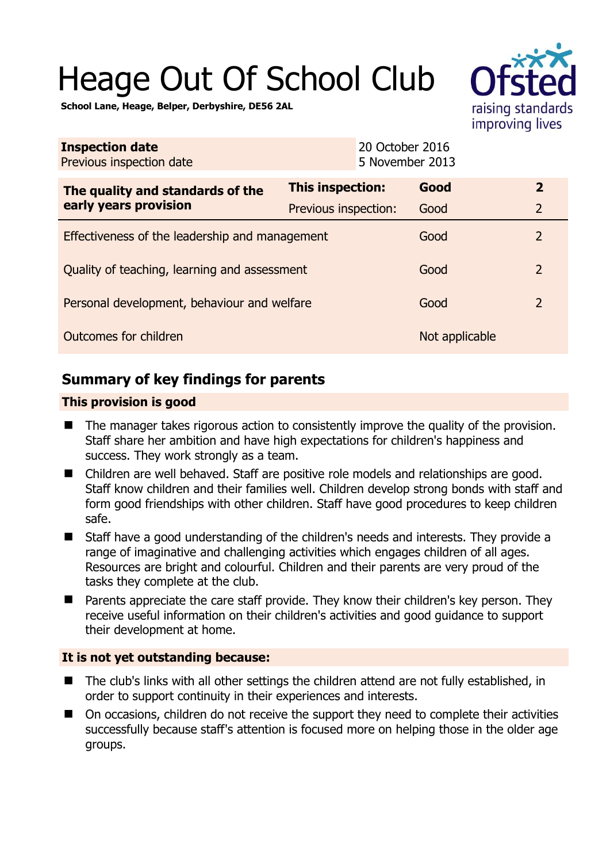# Heage Out Of School Club



**School Lane, Heage, Belper, Derbyshire, DE56 2AL** 

| <b>Inspection date</b><br>Previous inspection date        | 20 October 2016<br>5 November 2013 |                |                |
|-----------------------------------------------------------|------------------------------------|----------------|----------------|
| The quality and standards of the<br>early years provision | This inspection:                   | Good           | $\overline{2}$ |
|                                                           | Previous inspection:               | Good           | $\overline{2}$ |
| Effectiveness of the leadership and management            |                                    | Good           | 2              |
| Quality of teaching, learning and assessment              |                                    | Good           | $\overline{2}$ |
| Personal development, behaviour and welfare               |                                    | Good           | $\overline{2}$ |
| Outcomes for children                                     |                                    | Not applicable |                |

## **Summary of key findings for parents**

### **This provision is good**

- The manager takes rigorous action to consistently improve the quality of the provision. Staff share her ambition and have high expectations for children's happiness and success. They work strongly as a team.
- Children are well behaved. Staff are positive role models and relationships are good. Staff know children and their families well. Children develop strong bonds with staff and form good friendships with other children. Staff have good procedures to keep children safe.
- Staff have a good understanding of the children's needs and interests. They provide a range of imaginative and challenging activities which engages children of all ages. Resources are bright and colourful. Children and their parents are very proud of the tasks they complete at the club.
- Parents appreciate the care staff provide. They know their children's key person. They receive useful information on their children's activities and good guidance to support their development at home.

## **It is not yet outstanding because:**

- The club's links with all other settings the children attend are not fully established, in order to support continuity in their experiences and interests.
- On occasions, children do not receive the support they need to complete their activities successfully because staff's attention is focused more on helping those in the older age groups.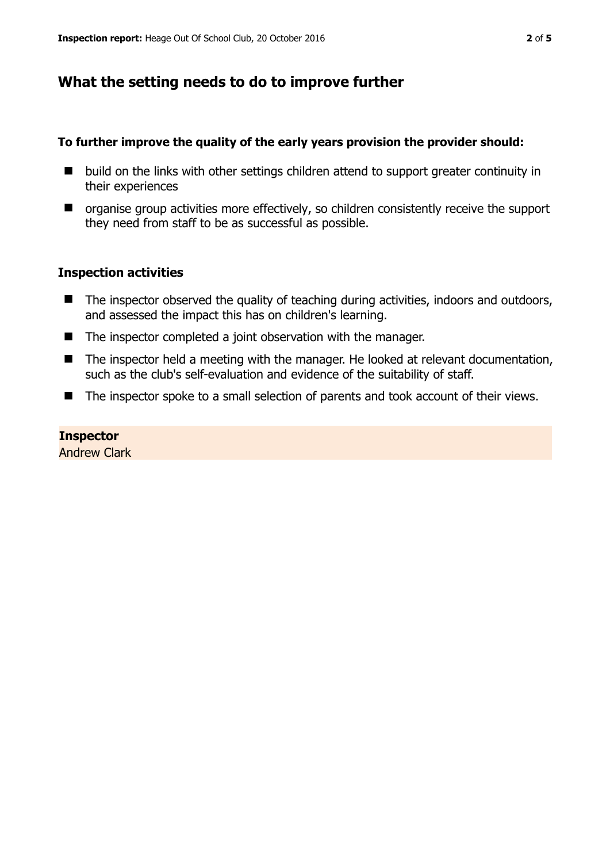## **What the setting needs to do to improve further**

#### **To further improve the quality of the early years provision the provider should:**

- build on the links with other settings children attend to support greater continuity in their experiences
- organise group activities more effectively, so children consistently receive the support they need from staff to be as successful as possible.

#### **Inspection activities**

- The inspector observed the quality of teaching during activities, indoors and outdoors, and assessed the impact this has on children's learning.
- The inspector completed a joint observation with the manager.
- The inspector held a meeting with the manager. He looked at relevant documentation, such as the club's self-evaluation and evidence of the suitability of staff.
- The inspector spoke to a small selection of parents and took account of their views.

#### **Inspector**

Andrew Clark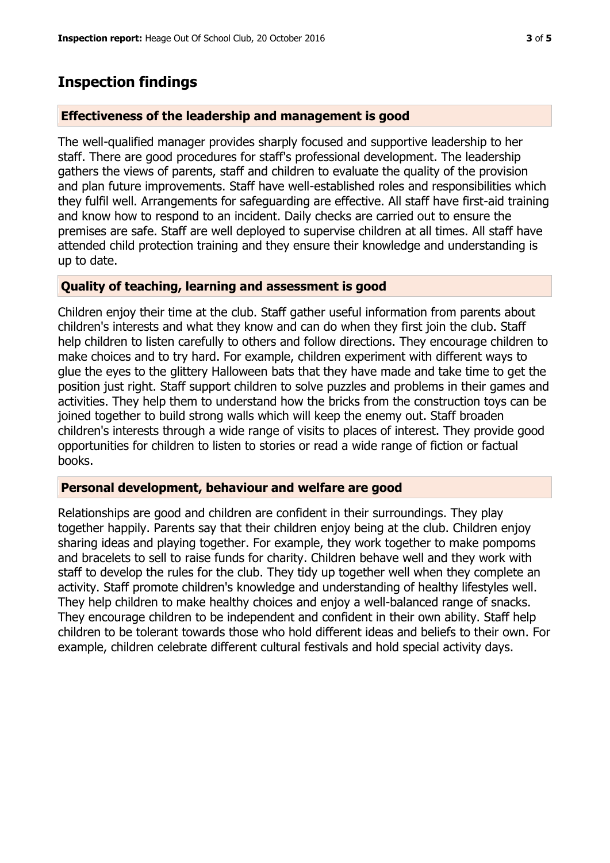## **Inspection findings**

#### **Effectiveness of the leadership and management is good**

The well-qualified manager provides sharply focused and supportive leadership to her staff. There are good procedures for staff's professional development. The leadership gathers the views of parents, staff and children to evaluate the quality of the provision and plan future improvements. Staff have well-established roles and responsibilities which they fulfil well. Arrangements for safeguarding are effective. All staff have first-aid training and know how to respond to an incident. Daily checks are carried out to ensure the premises are safe. Staff are well deployed to supervise children at all times. All staff have attended child protection training and they ensure their knowledge and understanding is up to date.

#### **Quality of teaching, learning and assessment is good**

Children enjoy their time at the club. Staff gather useful information from parents about children's interests and what they know and can do when they first join the club. Staff help children to listen carefully to others and follow directions. They encourage children to make choices and to try hard. For example, children experiment with different ways to glue the eyes to the glittery Halloween bats that they have made and take time to get the position just right. Staff support children to solve puzzles and problems in their games and activities. They help them to understand how the bricks from the construction toys can be joined together to build strong walls which will keep the enemy out. Staff broaden children's interests through a wide range of visits to places of interest. They provide good opportunities for children to listen to stories or read a wide range of fiction or factual books.

#### **Personal development, behaviour and welfare are good**

Relationships are good and children are confident in their surroundings. They play together happily. Parents say that their children enjoy being at the club. Children enjoy sharing ideas and playing together. For example, they work together to make pompoms and bracelets to sell to raise funds for charity. Children behave well and they work with staff to develop the rules for the club. They tidy up together well when they complete an activity. Staff promote children's knowledge and understanding of healthy lifestyles well. They help children to make healthy choices and enjoy a well-balanced range of snacks. They encourage children to be independent and confident in their own ability. Staff help children to be tolerant towards those who hold different ideas and beliefs to their own. For example, children celebrate different cultural festivals and hold special activity days.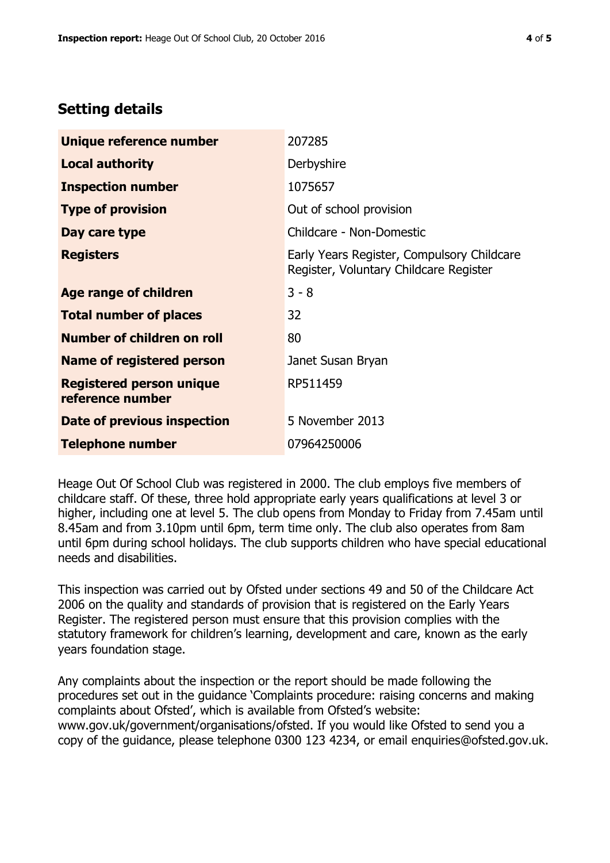# **Setting details**

| Unique reference number                             | 207285                                                                               |  |
|-----------------------------------------------------|--------------------------------------------------------------------------------------|--|
| <b>Local authority</b>                              | Derbyshire                                                                           |  |
| <b>Inspection number</b>                            | 1075657                                                                              |  |
| <b>Type of provision</b>                            | Out of school provision                                                              |  |
| Day care type                                       | Childcare - Non-Domestic                                                             |  |
| <b>Registers</b>                                    | Early Years Register, Compulsory Childcare<br>Register, Voluntary Childcare Register |  |
| Age range of children                               | $3 - 8$                                                                              |  |
| <b>Total number of places</b>                       | 32                                                                                   |  |
| Number of children on roll                          | 80                                                                                   |  |
| Name of registered person                           | Janet Susan Bryan                                                                    |  |
| <b>Registered person unique</b><br>reference number | RP511459                                                                             |  |
| <b>Date of previous inspection</b>                  | 5 November 2013                                                                      |  |
| <b>Telephone number</b>                             | 07964250006                                                                          |  |

Heage Out Of School Club was registered in 2000. The club employs five members of childcare staff. Of these, three hold appropriate early years qualifications at level 3 or higher, including one at level 5. The club opens from Monday to Friday from 7.45am until 8.45am and from 3.10pm until 6pm, term time only. The club also operates from 8am until 6pm during school holidays. The club supports children who have special educational needs and disabilities.

This inspection was carried out by Ofsted under sections 49 and 50 of the Childcare Act 2006 on the quality and standards of provision that is registered on the Early Years Register. The registered person must ensure that this provision complies with the statutory framework for children's learning, development and care, known as the early years foundation stage.

Any complaints about the inspection or the report should be made following the procedures set out in the guidance 'Complaints procedure: raising concerns and making complaints about Ofsted', which is available from Ofsted's website: www.gov.uk/government/organisations/ofsted. If you would like Ofsted to send you a copy of the guidance, please telephone 0300 123 4234, or email enquiries@ofsted.gov.uk.